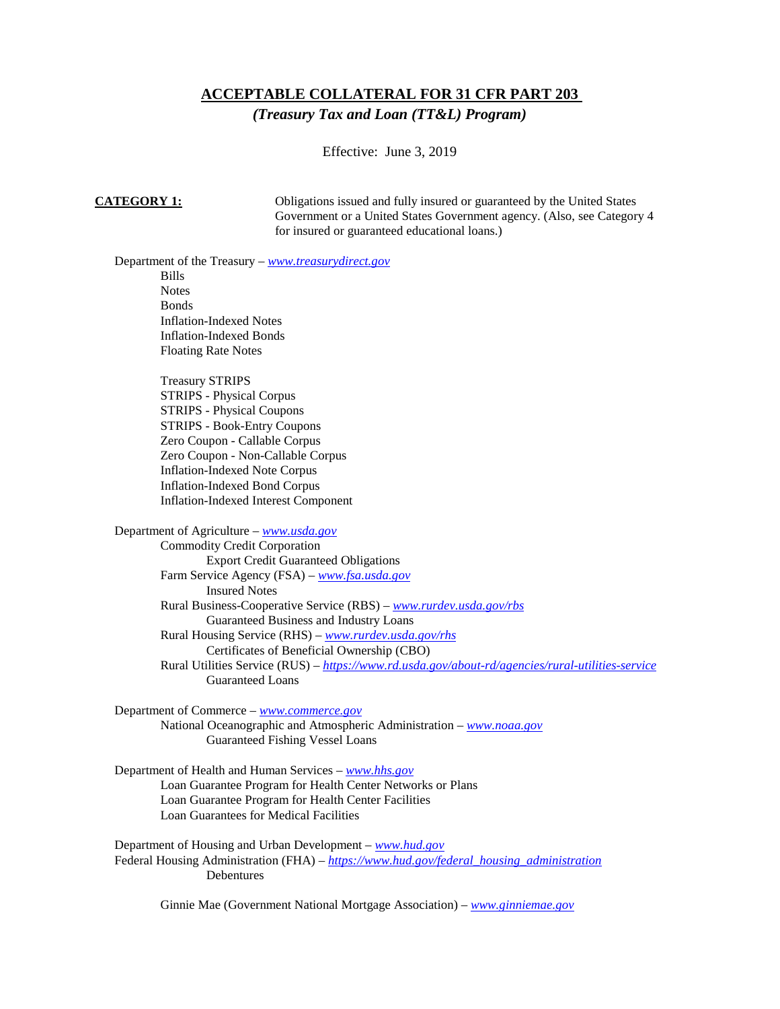# **ACCEPTABLE COLLATERAL FOR 31 CFR PART 203**

*(Treasury Tax and Loan (TT&L) Program)*

Effective: June 3, 2019

**CATEGORY 1:** Obligations issued and fully insured or guaranteed by the United States Government or a United States Government agency. (Also, see Category 4 for insured or guaranteed educational loans.)

Department of the Treasury – *[www.treasurydirect.gov](http://www.treasurydirect.gov/)*

Bills **Notes Bonds** Inflation-Indexed Notes Inflation-Indexed Bonds Floating Rate Notes

Treasury STRIPS STRIPS - Physical Corpus STRIPS - Physical Coupons STRIPS - Book-Entry Coupons Zero Coupon - Callable Corpus Zero Coupon - Non-Callable Corpus Inflation-Indexed Note Corpus Inflation-Indexed Bond Corpus Inflation-Indexed Interest Component

Department of Agriculture – *[www.usda.gov](http://www.usda.gov/)*

Commodity Credit Corporation Export Credit Guaranteed Obligations Farm Service Agency (FSA) – *[www.fsa.usda.gov](http://www.fsa.usda.gov/)* Insured Notes Rural Business-Cooperative Service (RBS) – *[www.rurdev.usda.gov/rbs](http://www.rurdev.usda.gov/rbs)* Guaranteed Business and Industry Loans Rural Housing Service (RHS) – *[www.rurdev.usda.gov/rhs](http://www.rurdev.usda.gov/rhs)* Certificates of Beneficial Ownership (CBO) Rural Utilities Service (RUS) – *<https://www.rd.usda.gov/about-rd/agencies/rural-utilities-service>* Guaranteed Loans

Department of Commerce – *[www.commerce.gov](http://www.commerce.gov/)*

National Oceanographic and Atmospheric Administration – *[www.noaa.gov](http://www.noaa.gov/)* Guaranteed Fishing Vessel Loans

Department of Health and Human Services – *[www.hhs.gov](http://www.hhs.gov/)* Loan Guarantee Program for Health Center Networks or Plans Loan Guarantee Program for Health Center Facilities Loan Guarantees for Medical Facilities

Department of Housing and Urban Development – *[www.hud.gov](http://www.hud.gov/)* Federal Housing Administration (FHA) – *[https://www.hud.gov/federal\\_housing\\_administration](https://www.hud.gov/federal_housing_administration)* Debentures

Ginnie Mae (Government National Mortgage Association) – *[www.ginniemae.gov](http://www.ginniemae.gov/)*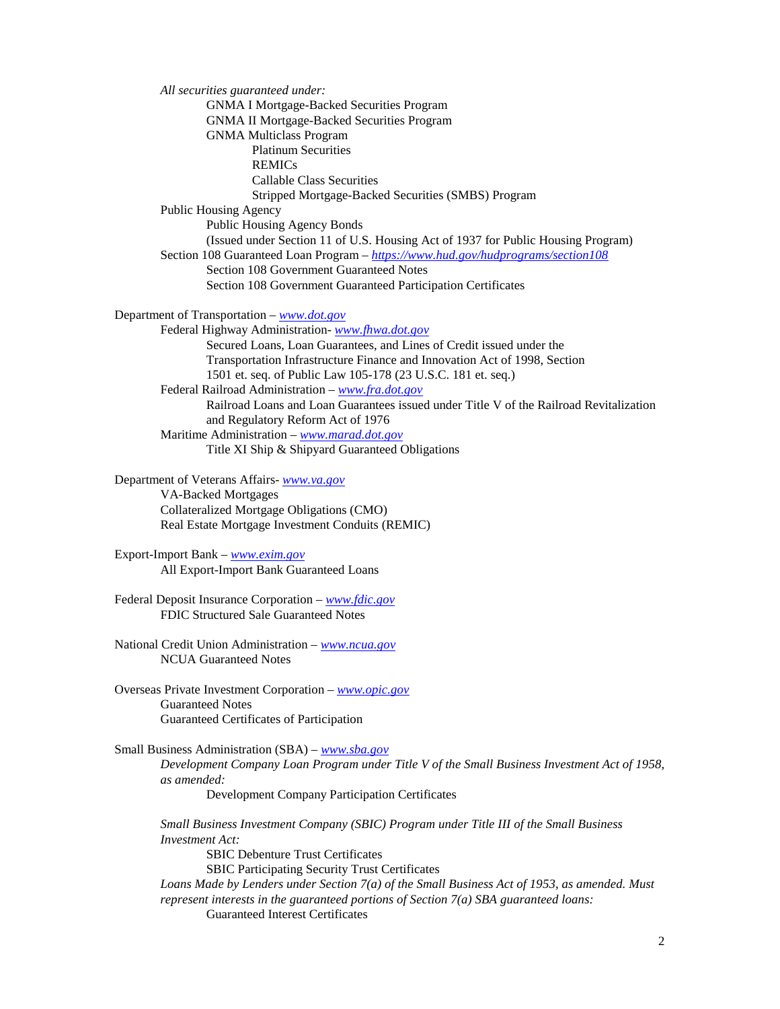*All securities guaranteed under:*  GNMA I Mortgage-Backed Securities Program GNMA II Mortgage-Backed Securities Program GNMA Multiclass Program Platinum Securities REMICs Callable Class Securities Stripped Mortgage-Backed Securities (SMBS) Program Public Housing Agency Public Housing Agency Bonds (Issued under Section 11 of U.S. Housing Act of 1937 for Public Housing Program) Section 108 Guaranteed Loan Program – *<https://www.hud.gov/hudprograms/section108>* Section 108 Government Guaranteed Notes Section 108 Government Guaranteed Participation Certificates Department of Transportation – *[www.dot.gov](http://www.dot.gov/)* Federal Highway Administration- *[www.fhwa.dot.gov](http://www.fhwa.dot.gov/)* Secured Loans, Loan Guarantees, and Lines of Credit issued under the Transportation Infrastructure Finance and Innovation Act of 1998, Section 1501 et. seq. of Public Law 105-178 (23 U.S.C. 181 et. seq.) Federal Railroad Administration – *[www.fra.dot.gov](http://www.fra.dot.gov/)* Railroad Loans and Loan Guarantees issued under Title V of the Railroad Revitalization and Regulatory Reform Act of 1976 Maritime Administration – *[www.marad.dot.gov](http://www.marad.dot.gov/)* Title XI Ship & Shipyard Guaranteed Obligations Department of Veterans Affairs- *[www.va.gov](http://www.va.gov/)* VA-Backed Mortgages Collateralized Mortgage Obligations (CMO) Real Estate Mortgage Investment Conduits (REMIC)

Export-Import Bank – *[www.exim.gov](http://www.exim.gov/)* All Export-Import Bank Guaranteed Loans

Federal Deposit Insurance Corporation – *[www.fdic.gov](http://www.fdic.gov/)* FDIC Structured Sale Guaranteed Notes

National Credit Union Administration – *[www.ncua.gov](http://www.ncua.gov/)* NCUA Guaranteed Notes

Overseas Private Investment Corporation – *[www.opic.gov](http://www.opic.gov/)* Guaranteed Notes Guaranteed Certificates of Participation

Small Business Administration (SBA) – *[www.sba.gov](http://www.sba.gov/)*

*Development Company Loan Program under Title V of the Small Business Investment Act of 1958, as amended:* 

Development Company Participation Certificates

*Small Business Investment Company (SBIC) Program under Title III of the Small Business Investment Act:* 

SBIC Debenture Trust Certificates

SBIC Participating Security Trust Certificates

*Loans Made by Lenders under Section 7(a) of the Small Business Act of 1953, as amended. Must represent interests in the guaranteed portions of Section 7(a) SBA guaranteed loans:* Guaranteed Interest Certificates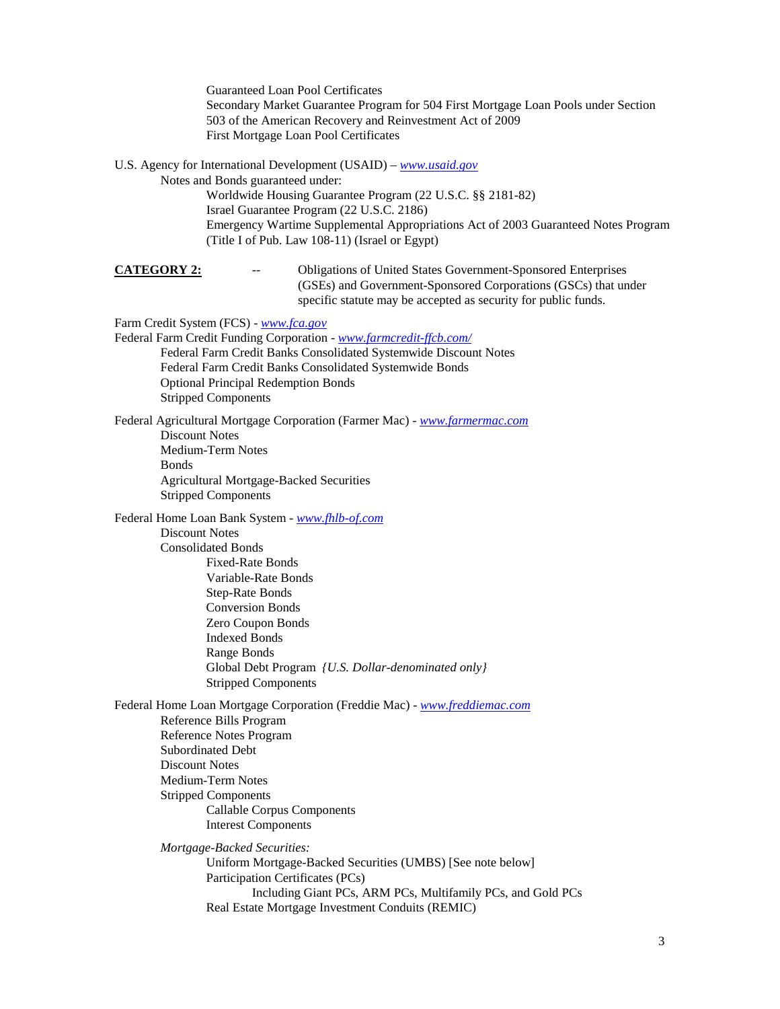Guaranteed Loan Pool Certificates Secondary Market Guarantee Program for 504 First Mortgage Loan Pools under Section 503 of the American Recovery and Reinvestment Act of 2009 First Mortgage Loan Pool Certificates

U.S. Agency for International Development (USAID) – *[www.usaid.gov](http://www.usaid.gov/)*

Notes and Bonds guaranteed under: Worldwide Housing Guarantee Program (22 U.S.C. §§ 2181-82) Israel Guarantee Program (22 U.S.C. 2186) Emergency Wartime Supplemental Appropriations Act of 2003 Guaranteed Notes Program (Title I of Pub. Law 108-11) (Israel or Egypt)

**CATEGORY 2:** -- Obligations of United States Government-Sponsored Enterprises (GSEs) and Government-Sponsored Corporations (GSCs) that under specific statute may be accepted as security for public funds.

Farm Credit System (FCS) - *[www.fca.gov](http://www.fca.gov/)*

Federal Farm Credit Funding Corporation - *[www.farmcredit-ffcb.com/](http://www.farmcredit-ffcb.com/)* Federal Farm Credit Banks Consolidated Systemwide Discount Notes Federal Farm Credit Banks Consolidated Systemwide Bonds Optional Principal Redemption Bonds Stripped Components

Federal Agricultural Mortgage Corporation (Farmer Mac) - *[www.farmermac.com](http://www.farmermac.com/)* Discount Notes Medium-Term Notes Bonds Agricultural Mortgage-Backed Securities Stripped Components

Federal Home Loan Bank System - *[www.fhlb-of.com](http://www.fhlb-of.com/)* 

Discount Notes Consolidated Bonds Fixed-Rate Bonds Variable-Rate Bonds Step-Rate Bonds Conversion Bonds Zero Coupon Bonds Indexed Bonds Range Bonds Global Debt Program *{U.S. Dollar-denominated only}* Stripped Components

Federal Home Loan Mortgage Corporation (Freddie Mac) - *[www.freddiemac.com](http://www.freddiemac.com/)* Reference Bills Program Reference Notes Program Subordinated Debt Discount Notes Medium-Term Notes Stripped Components Callable Corpus Components Interest Components

*Mortgage-Backed Securities:* Uniform Mortgage-Backed Securities (UMBS) [See note below] Participation Certificates (PCs) Including Giant PCs, ARM PCs, Multifamily PCs, and Gold PCs Real Estate Mortgage Investment Conduits (REMIC)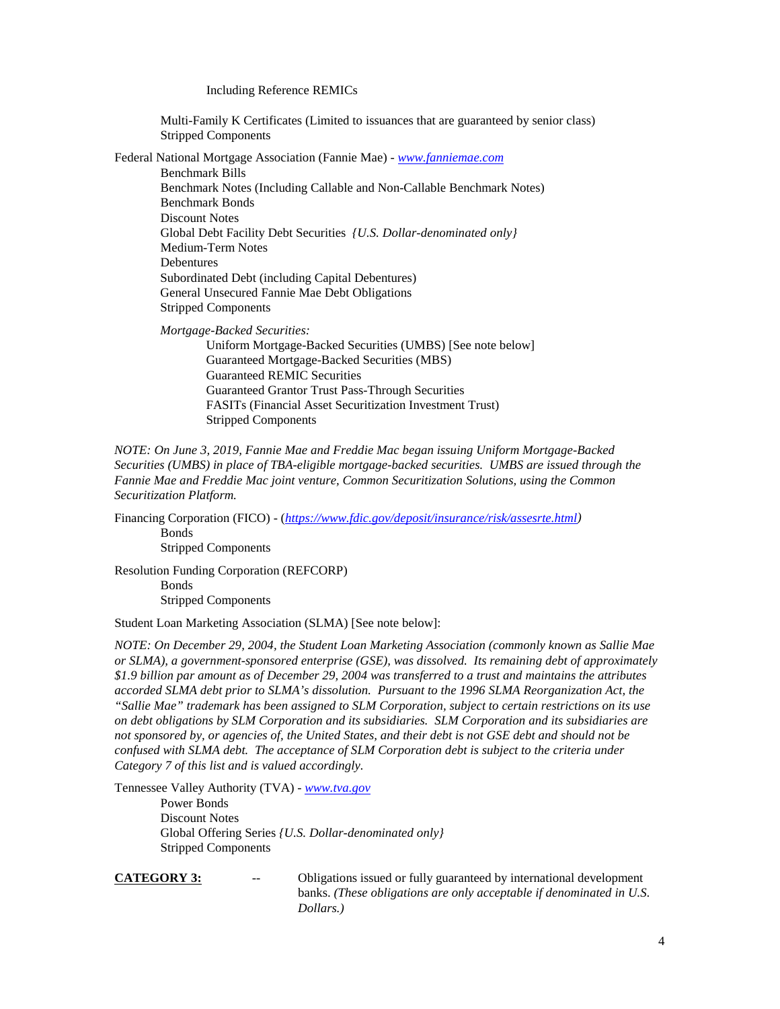### Including Reference REMICs

Multi-Family K Certificates (Limited to issuances that are guaranteed by senior class) Stripped Components

Federal National Mortgage Association (Fannie Mae) - *[www.fanniemae.com](http://www.fanniemae.com/)*

Benchmark Bills Benchmark Notes (Including Callable and Non-Callable Benchmark Notes) Benchmark Bonds Discount Notes Global Debt Facility Debt Securities *{U.S. Dollar-denominated only}* Medium-Term Notes Debentures Subordinated Debt (including Capital Debentures) General Unsecured Fannie Mae Debt Obligations Stripped Components

*Mortgage-Backed Securities:*

Uniform Mortgage-Backed Securities (UMBS) [See note below] Guaranteed Mortgage-Backed Securities (MBS) Guaranteed REMIC Securities Guaranteed Grantor Trust Pass-Through Securities FASITs (Financial Asset Securitization Investment Trust) Stripped Components

*NOTE: On June 3, 2019, Fannie Mae and Freddie Mac began issuing Uniform Mortgage-Backed Securities (UMBS) in place of TBA-eligible mortgage-backed securities. UMBS are issued through the Fannie Mae and Freddie Mac joint venture, Common Securitization Solutions, using the Common Securitization Platform.*

Financing Corporation (FICO) - (*[https://www.fdic.gov/deposit/insurance/risk/assesrte.html\)](https://www.fdic.gov/deposit/insurance/risk/assesrte.html)* Bonds Stripped Components

Resolution Funding Corporation (REFCORP) Bonds Stripped Components

Student Loan Marketing Association (SLMA) [See note below]:

*NOTE: On December 29, 2004, the Student Loan Marketing Association (commonly known as Sallie Mae or SLMA), a government-sponsored enterprise (GSE), was dissolved. Its remaining debt of approximately \$1.9 billion par amount as of December 29, 2004 was transferred to a trust and maintains the attributes accorded SLMA debt prior to SLMA's dissolution. Pursuant to the 1996 SLMA Reorganization Act, the "Sallie Mae" trademark has been assigned to SLM Corporation, subject to certain restrictions on its use on debt obligations by SLM Corporation and its subsidiaries. SLM Corporation and its subsidiaries are not sponsored by, or agencies of, the United States, and their debt is not GSE debt and should not be confused with SLMA debt. The acceptance of SLM Corporation debt is subject to the criteria under Category 7 of this list and is valued accordingly.*

Tennessee Valley Authority (TVA) - *[www.tva.gov](http://www.tva.gov/)*

Power Bonds Discount Notes Global Offering Series *{U.S. Dollar-denominated only}* Stripped Components

**CATEGORY 3:** -- Obligations issued or fully guaranteed by international development banks. *(These obligations are only acceptable if denominated in U.S. Dollars.)*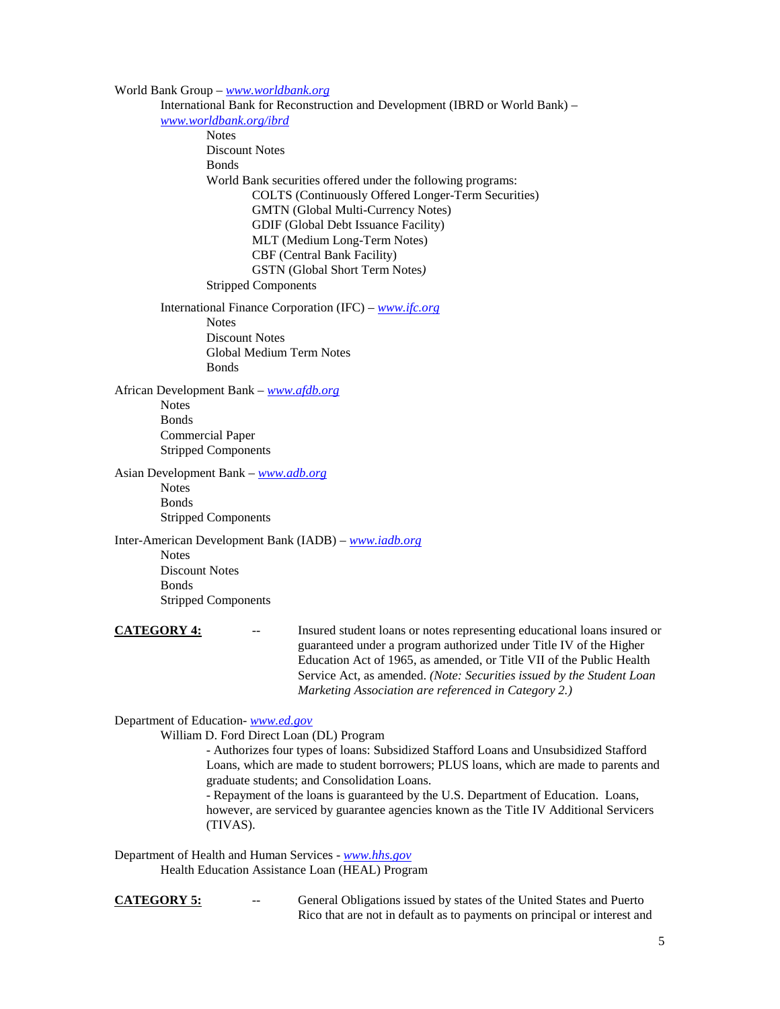World Bank Group – *[www.worldbank.org](http://www.worldbank.org/)* International Bank for Reconstruction and Development (IBRD or World Bank) – *[www.worldbank.org/ibrd](http://www.worldbank.org/ibrd)* **Notes** Discount Notes **Bonds** World Bank securities offered under the following programs: COLTS (Continuously Offered Longer-Term Securities) GMTN (Global Multi-Currency Notes) GDIF (Global Debt Issuance Facility) MLT (Medium Long-Term Notes) CBF (Central Bank Facility) GSTN (Global Short Term Notes*)* Stripped Components International Finance Corporation (IFC) – *[www.ifc.org](http://www.ifc.org/)* **Notes** Discount Notes Global Medium Term Notes **Bonds** African Development Bank – *[www.afdb.org](http://www.afdb.org/)* **Notes** Bonds Commercial Paper Stripped Components Asian Development Bank – *[www.adb.org](http://www.adb.org/)* Notes Bonds Stripped Components Inter-American Development Bank (IADB) – *[www.iadb.org](http://www.iadb.org/)* Notes Discount Notes Bonds Stripped Components **CATEGORY 4:** -- Insured student loans or notes representing educational loans insured or guaranteed under a program authorized under Title IV of the Higher Education Act of 1965, as amended, or Title VII of the Public Health Service Act, as amended. *(Note: Securities issued by the Student Loan Marketing Association are referenced in Category 2.)* Department of Education- *[www.ed.gov](http://www.ed.gov/)*

William D. Ford Direct Loan (DL) Program

- Authorizes four types of loans: Subsidized Stafford Loans and Unsubsidized Stafford Loans, which are made to student borrowers; PLUS loans, which are made to parents and graduate students; and Consolidation Loans.

- Repayment of the loans is guaranteed by the U.S. Department of Education. Loans, however, are serviced by guarantee agencies known as the Title IV Additional Servicers (TIVAS).

Department of Health and Human Services - *[www.hhs.gov](http://www.hhs.gov/)* Health Education Assistance Loan (HEAL) Program

**CATEGORY 5:** -- General Obligations issued by states of the United States and Puerto Rico that are not in default as to payments on principal or interest and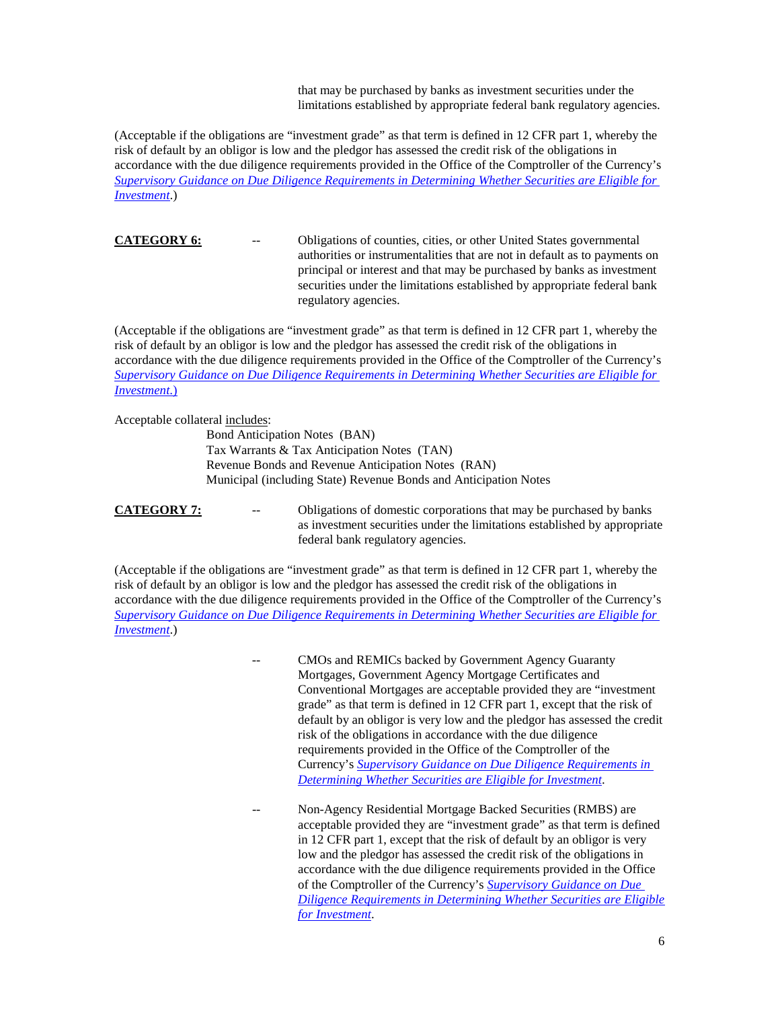that may be purchased by banks as investment securities under the limitations established by appropriate federal bank regulatory agencies.

(Acceptable if the obligations are "investment grade" as that term is defined in 12 CFR part 1, whereby the risk of default by an obligor is low and the pledgor has assessed the credit risk of the obligations in accordance with the due diligence requirements provided in the Office of the Comptroller of the Currency's *[Supervisory Guidance on Due Diligence Requirements in Determining Whether Securities are Eligible for](http://www.occ.gov/news-issuances/bulletins/2012/bulletin-2012-18.html)  [Investment](http://www.occ.gov/news-issuances/bulletins/2012/bulletin-2012-18.html)*.)

**CATEGORY 6:** -- Obligations of counties, cities, or other United States governmental authorities or instrumentalities that are not in default as to payments on principal or interest and that may be purchased by banks as investment securities under the limitations established by appropriate federal bank regulatory agencies.

(Acceptable if the obligations are "investment grade" as that term is defined in 12 CFR part 1, whereby the risk of default by an obligor is low and the pledgor has assessed the credit risk of the obligations in accordance with the due diligence requirements provided in the Office of the Comptroller of the Currency's *[Supervisory Guidance on Due Diligence Requirements in Determining Whether](http://www.occ.gov/news-issuances/bulletins/2012/bulletin-2012-18.html) Securities are Eligible for [Investment](http://www.occ.gov/news-issuances/bulletins/2012/bulletin-2012-18.html)*.)

Acceptable collateral includes:

Bond Anticipation Notes (BAN) Tax Warrants & Tax Anticipation Notes (TAN) Revenue Bonds and Revenue Anticipation Notes (RAN) Municipal (including State) Revenue Bonds and Anticipation Notes

**CATEGORY 7:** -- Obligations of domestic corporations that may be purchased by banks as investment securities under the limitations established by appropriate federal bank regulatory agencies.

(Acceptable if the obligations are "investment grade" as that term is defined in 12 CFR part 1, whereby the risk of default by an obligor is low and the pledgor has assessed the credit risk of the obligations in accordance with the due diligence requirements provided in the Office of the Comptroller of the Currency's *[Supervisory Guidance on Due Diligence Requirements in Determining Whether Securities are Eligible for](http://www.occ.gov/news-issuances/bulletins/2012/bulletin-2012-18.html)  [Investment](http://www.occ.gov/news-issuances/bulletins/2012/bulletin-2012-18.html)*.)

> CMOs and REMICs backed by Government Agency Guaranty Mortgages, Government Agency Mortgage Certificates and Conventional Mortgages are acceptable provided they are "investment grade" as that term is defined in 12 CFR part 1, except that the risk of default by an obligor is very low and the pledgor has assessed the credit risk of the obligations in accordance with the due diligence requirements provided in the Office of the Comptroller of the Currency's *[Supervisory Guidance on Due Diligence Requirements in](http://www.occ.gov/news-issuances/bulletins/2012/bulletin-2012-18.html)  [Determining Whether Securities are Eligible for Investment](http://www.occ.gov/news-issuances/bulletins/2012/bulletin-2012-18.html)*.

Non-Agency Residential Mortgage Backed Securities (RMBS) are acceptable provided they are "investment grade" as that term is defined in 12 CFR part 1, except that the risk of default by an obligor is very low and the pledgor has assessed the credit risk of the obligations in accordance with the due diligence requirements provided in the Office of the Comptroller of the Currency's *[Supervisory Guidance on Due](http://www.occ.gov/news-issuances/bulletins/2012/bulletin-2012-18.html)  [Diligence Requirements in Determining Whether Securities are Eligible](http://www.occ.gov/news-issuances/bulletins/2012/bulletin-2012-18.html)  [for Investment](http://www.occ.gov/news-issuances/bulletins/2012/bulletin-2012-18.html)*.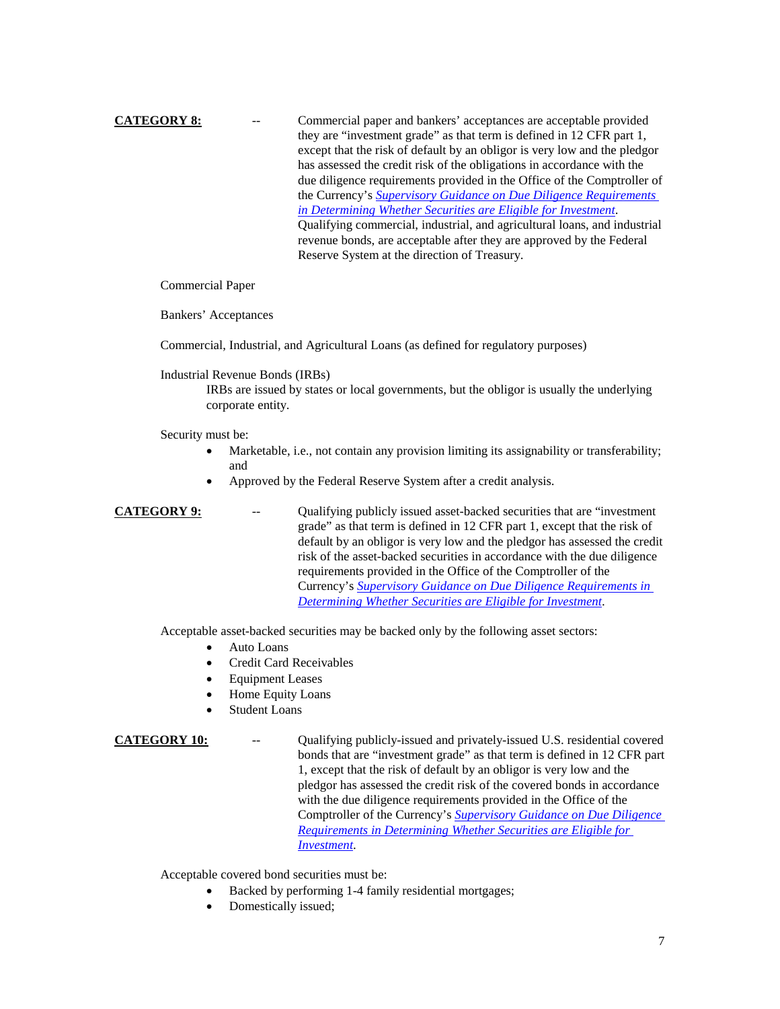**CATEGORY 8:** -- Commercial paper and bankers' acceptances are acceptable provided they are "investment grade" as that term is defined in 12 CFR part 1, except that the risk of default by an obligor is very low and the pledgor has assessed the credit risk of the obligations in accordance with the due diligence requirements provided in the Office of the Comptroller of the Currency's *[Supervisory Guidance on Due Diligence Requirements](http://www.occ.gov/news-issuances/bulletins/2012/bulletin-2012-18.html)  [in Determining Whether Securities are Eligible for Investment](http://www.occ.gov/news-issuances/bulletins/2012/bulletin-2012-18.html)*. Qualifying commercial, industrial, and agricultural loans, and industrial revenue bonds, are acceptable after they are approved by the Federal Reserve System at the direction of Treasury.

Commercial Paper

Bankers' Acceptances

Commercial, Industrial, and Agricultural Loans (as defined for regulatory purposes)

Industrial Revenue Bonds (IRBs)

IRBs are issued by states or local governments, but the obligor is usually the underlying corporate entity.

Security must be:

- Marketable, i.e., not contain any provision limiting its assignability or transferability; and
- Approved by the Federal Reserve System after a credit analysis.

**CATEGORY 9:** -- Qualifying publicly issued asset-backed securities that are "investment" grade" as that term is defined in 12 CFR part 1, except that the risk of default by an obligor is very low and the pledgor has assessed the credit risk of the asset-backed securities in accordance with the due diligence requirements provided in the Office of the Comptroller of the Currency's *[Supervisory Guidance on Due Diligence Requirements in](http://www.occ.gov/news-issuances/bulletins/2012/bulletin-2012-18.html)  [Determining Whether Securities are Eligible for Investment](http://www.occ.gov/news-issuances/bulletins/2012/bulletin-2012-18.html)*.

Acceptable asset-backed securities may be backed only by the following asset sectors:

- Auto Loans
- Credit Card Receivables
- **Equipment Leases**
- Home Equity Loans
- **Student Loans**

**CATEGORY 10:** -- Qualifying publicly-issued and privately-issued U.S. residential covered bonds that are "investment grade" as that term is defined in 12 CFR part 1, except that the risk of default by an obligor is very low and the pledgor has assessed the credit risk of the covered bonds in accordance with the due diligence requirements provided in the Office of the Comptroller of the Currency's *[Supervisory Guidance on Due Diligence](http://www.occ.gov/news-issuances/bulletins/2012/bulletin-2012-18.html)  [Requirements in Determining Whether Securities are Eligible for](http://www.occ.gov/news-issuances/bulletins/2012/bulletin-2012-18.html)  [Investment](http://www.occ.gov/news-issuances/bulletins/2012/bulletin-2012-18.html)*.

Acceptable covered bond securities must be:

- Backed by performing 1-4 family residential mortgages;
- Domestically issued;